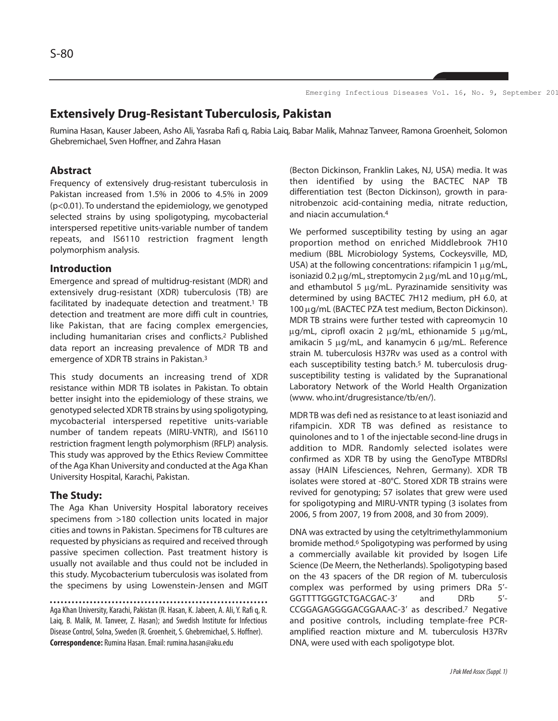Emerging Infectious Diseases Vol. 16, No. 9, September 201

# **Extensively Drug-Resistant Tuberculosis, Pakistan**

Rumina Hasan, Kauser Jabeen, Asho Ali, Yasraba Rafi q, Rabia Laiq, Babar Malik, Mahnaz Tanveer, Ramona Groenheit, Solomon Ghebremichael, Sven Hoffner, and Zahra Hasan

## **Abstract**

Frequency of extensively drug-resistant tuberculosis in Pakistan increased from 1.5% in 2006 to 4.5% in 2009 (p<0.01). To understand the epidemiology, we genotyped selected strains by using spoligotyping, mycobacterial interspersed repetitive units-variable number of tandem repeats, and IS6110 restriction fragment length polymorphism analysis.

#### **Introduction**

Emergence and spread of multidrug-resistant (MDR) and extensively drug-resistant (XDR) tuberculosis (TB) are facilitated by inadequate detection and treatment.<sup>1</sup> TB detection and treatment are more diffi cult in countries, like Pakistan, that are facing complex emergencies, including humanitarian crises and conflicts.<sup>2</sup> Published data report an increasing prevalence of MDR TB and emergence of XDR TB strains in Pakistan.<sup>3</sup>

This study documents an increasing trend of XDR resistance within MDR TB isolates in Pakistan. To obtain better insight into the epidemiology of these strains, we genotyped selected XDR TB strains by using spoligotyping, mycobacterial interspersed repetitive units-variable number of tandem repeats (MIRU-VNTR), and IS6110 restriction fragment length polymorphism (RFLP) analysis. This study was approved by the Ethics Review Committee of the Aga Khan University and conducted at the Aga Khan University Hospital, Karachi, Pakistan.

#### **The Study:**

The Aga Khan University Hospital laboratory receives specimens from >180 collection units located in major cities and towns in Pakistan. Specimens for TB cultures are requested by physicians as required and received through passive specimen collection. Past treatment history is usually not available and thus could not be included in this study. Mycobacterium tuberculosis was isolated from the specimens by using Lowenstein-Jensen and MGIT

Aga Khan University, Karachi, Pakistan (R. Hasan, K. Jabeen, A. Ali, Y. Rafi q, R. Laiq, B. Malik, M. Tanveer, Z. Hasan); and Swedish Institute for Infectious Disease Control, Solna, Sweden (R. Groenheit, S. Ghebremichael, S. Hoffner). **Correspondence:** Rumina Hasan. Email: rumina.hasan@aku.edu

(Becton Dickinson, Franklin Lakes, NJ, USA) media. It was then identified by using the BACTEC NAP TB differentiation test (Becton Dickinson), growth in paranitrobenzoic acid-containing media, nitrate reduction, and niacin accumulation.<sup>4</sup>

We performed susceptibility testing by using an agar proportion method on enriched Middlebrook 7H10 medium (BBL Microbiology Systems, Cockeysville, MD, USA) at the following concentrations: rifampicin  $1 \mu g/mL$ , isoniazid 0.2  $\mu$ g/mL, streptomycin 2  $\mu$ g/mL and 10  $\mu$ g/mL, and ethambutol 5 µg/mL. Pyrazinamide sensitivity was determined by using BACTEC 7H12 medium, pH 6.0, at 100 µg/mL (BACTEC PZA test medium, Becton Dickinson). MDR TB strains were further tested with capreomycin 10 µg/mL, ciprofl oxacin 2 µg/mL, ethionamide 5 µg/mL, amikacin 5 µg/mL, and kanamycin 6 µg/mL. Reference strain M. tuberculosis H37Rv was used as a control with each susceptibility testing batch.<sup>5</sup> M. tuberculosis drugsusceptibility testing is validated by the Supranational Laboratory Network of the World Health Organization (www. who.int/drugresistance/tb/en/).

MDR TB was defi ned as resistance to at least isoniazid and rifampicin. XDR TB was defined as resistance to quinolones and to 1 of the injectable second-line drugs in addition to MDR. Randomly selected isolates were confirmed as XDR TB by using the GenoType MTBDRsl assay (HAIN Lifesciences, Nehren, Germany). XDR TB isolates were stored at -80°C. Stored XDR TB strains were revived for genotyping; 57 isolates that grew were used for spoligotyping and MIRU-VNTR typing (3 isolates from 2006, 5 from 2007, 19 from 2008, and 30 from 2009).

DNA was extracted by using the cetyltrimethylammonium bromide method.<sup>6</sup> Spoligotyping was performed by using a commercially available kit provided by Isogen Life Science (De Meern, the Netherlands). Spoligotyping based on the 43 spacers of the DR region of M. tuberculosis complex was performed by using primers DRa 5'- GGTTTTGGGTCTGACGAC-3' and DRb 5'- CCGGAGAGGGGACGGAAAC-3' as described.<sup>7</sup> Negative and positive controls, including template-free PCRamplified reaction mixture and M. tuberculosis H37Rv DNA, were used with each spoligotype blot.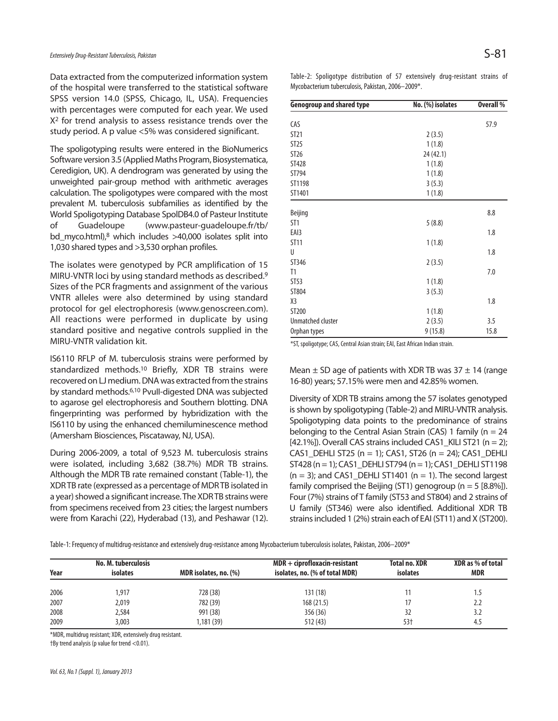Data extracted from the computerized information system of the hospital were transferred to the statistical software SPSS version 14.0 (SPSS, Chicago, IL, USA). Frequencies with percentages were computed for each year. We used X<sup>2</sup> for trend analysis to assess resistance trends over the study period. A p value <5% was considered significant.

The spoligotyping results were entered in the BioNumerics Software version 3.5 (Applied Maths Program, Biosystematica, Ceredigion, UK). A dendrogram was generated by using the unweighted pair-group method with arithmetic averages calculation. The spoligotypes were compared with the most prevalent M. tuberculosis subfamilies as identified by the World Spoligotyping Database SpolDB4.0 of Pasteur Institute of Guadeloupe (www.pasteur-guadeloupe.fr/tb/ bd\_myco.html),<sup>8</sup> which includes >40,000 isolates split into 1,030 shared types and >3,530 orphan profiles.

The isolates were genotyped by PCR amplification of 15 MIRU-VNTR loci by using standard methods as described.<sup>9</sup> Sizes of the PCR fragments and assignment of the various VNTR alleles were also determined by using standard protocol for gel electrophoresis (www.genoscreen.com). All reactions were performed in duplicate by using standard positive and negative controls supplied in the MIRU-VNTR validation kit.

IS6110 RFLP of M. tuberculosis strains were performed by standardized methods.<sup>10</sup> Briefly, XDR TB strains were recovered on LJ medium. DNA was extracted from the strains by standard methods.6,10 PvuII-digested DNA was subjected to agarose gel electrophoresis and Southern blotting. DNA fingerprinting was performed by hybridization with the IS6110 by using the enhanced chemiluminescence method (Amersham Biosciences, Piscataway, NJ, USA).

During 2006-2009, a total of 9,523 M. tuberculosis strains were isolated, including 3,682 (38.7%) MDR TB strains. Although the MDR TB rate remained constant (Table-1), the XDR TB rate (expressed as a percentage of MDR TB isolated in a year) showed a significant increase. The XDR TB strains were from specimens received from 23 cities; the largest numbers were from Karachi (22), Hyderabad (13), and Peshawar (12). Table-2: Spoligotype distribution of 57 extensively drug-resistant strains of Mycobacterium tuberculosis, Pakistan, 2006–2009\*.

| <b>Genogroup and shared type</b> | No. (%) isolates | <b>Overall %</b> |
|----------------------------------|------------------|------------------|
|                                  |                  |                  |
| CAS                              |                  | 57.9             |
| ST21                             | 2(3.5)           |                  |
| ST25                             | 1(1.8)           |                  |
| ST <sub>26</sub>                 | 24 (42.1)        |                  |
| <b>ST428</b>                     | 1(1.8)           |                  |
| ST794                            | 1(1.8)           |                  |
| ST1198                           | 3(5.3)           |                  |
| ST1401                           | 1(1.8)           |                  |
|                                  |                  |                  |
| Beijing                          |                  | 8.8              |
| ST <sub>1</sub>                  | 5(8.8)           |                  |
| EAI3                             |                  | 1.8              |
| <b>ST11</b>                      | 1(1.8)           |                  |
| U                                |                  | 1.8              |
| ST346                            | 2(3.5)           |                  |
| T1                               |                  | 7.0              |
| ST53                             | 1(1.8)           |                  |
| ST804                            | 3(5.3)           |                  |
| X3                               |                  | 1.8              |
| ST200                            | 1(1.8)           |                  |
| Unmatched cluster                | 2(3.5)           | 3.5              |
| Orphan types                     | 9(15.8)          | 15.8             |

\*ST, spoligotype; CAS, Central Asian strain; EAI, East African Indian strain.

Mean  $\pm$  SD age of patients with XDR TB was 37  $\pm$  14 (range 16-80) years; 57.15% were men and 42.85% women.

Diversity of XDR TB strains among the 57 isolates genotyped is shown by spoligotyping (Table-2) and MIRU-VNTR analysis. Spoligotyping data points to the predominance of strains belonging to the Central Asian Strain (CAS) 1 family ( $n = 24$ [42.1%]). Overall CAS strains included CAS1\_KILI ST21 ( $n = 2$ ); CAS1\_DEHLI ST25 (n = 1); CAS1, ST26 (n = 24); CAS1\_DEHLI ST428 (n = 1); CAS1\_DEHLI ST794 (n = 1); CAS1\_DEHLI ST1198  $(n = 3)$ ; and CAS1\_DEHLI ST1401  $(n = 1)$ . The second largest family comprised the Beijing (ST1) genogroup ( $n = 5$  [8.8%]). Four (7%) strains of T family (ST53 and ST804) and 2 strains of U family (ST346) were also identified. Additional XDR TB strains included 1 (2%) strain each of EAI (ST11) and X (ST200).

Table-1: Frequency of multidrug-resistance and extensively drug-resistance among Mycobacterium tuberculosis isolates, Pakistan, 2006–2009\*

|      | No. M. tuberculosis |                       | $MDR + ciprofloxacin-resistant$ | <b>Total no. XDR</b> | XDR as % of total |
|------|---------------------|-----------------------|---------------------------------|----------------------|-------------------|
| Year | <b>isolates</b>     | MDR isolates, no. (%) | isolates, no. (% of total MDR)  | <b>isolates</b>      | <b>MDR</b>        |
| 2006 | 1,917               | 728 (38)              | 131(18)                         |                      | 1.5               |
| 2007 | 2,019               | 782 (39)              | 168(21.5)                       |                      | 2.2               |
| 2008 | 2,584               | 991 (38)              | 356 (36)                        | 32                   | 3.2               |
| 2009 | 3,003               | 1,181 (39)            | 512 (43)                        | 53†                  | 4.5               |

\*MDR, multidrug resistant; XDR, extensively drug resistant.

†By trend analysis (p value for trend <0.01).